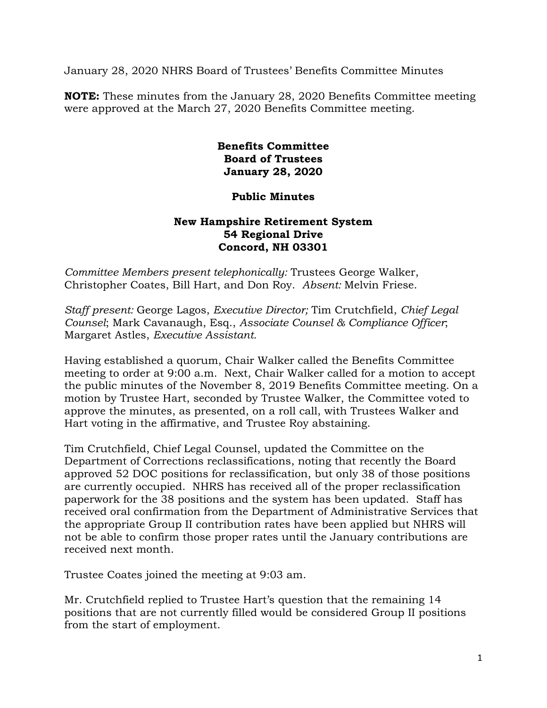January 28, 2020 NHRS Board of Trustees' Benefits Committee Minutes

**NOTE:** These minutes from the January 28, 2020 Benefits Committee meeting were approved at the March 27, 2020 Benefits Committee meeting.

## **Benefits Committee Board of Trustees January 28, 2020**

## **Public Minutes**

## **New Hampshire Retirement System 54 Regional Drive Concord, NH 03301**

*Committee Members present telephonically:* Trustees George Walker, Christopher Coates, Bill Hart, and Don Roy. *Absent:* Melvin Friese.

*Staff present:* George Lagos, *Executive Director;* Tim Crutchfield, *Chief Legal Counsel*; Mark Cavanaugh, Esq., *Associate Counsel & Compliance Officer*; Margaret Astles, *Executive Assistant.* 

Having established a quorum, Chair Walker called the Benefits Committee meeting to order at 9:00 a.m. Next, Chair Walker called for a motion to accept the public minutes of the November 8, 2019 Benefits Committee meeting. On a motion by Trustee Hart, seconded by Trustee Walker, the Committee voted to approve the minutes, as presented, on a roll call, with Trustees Walker and Hart voting in the affirmative, and Trustee Roy abstaining.

Tim Crutchfield, Chief Legal Counsel, updated the Committee on the Department of Corrections reclassifications, noting that recently the Board approved 52 DOC positions for reclassification, but only 38 of those positions are currently occupied. NHRS has received all of the proper reclassification paperwork for the 38 positions and the system has been updated. Staff has received oral confirmation from the Department of Administrative Services that the appropriate Group II contribution rates have been applied but NHRS will not be able to confirm those proper rates until the January contributions are received next month.

Trustee Coates joined the meeting at 9:03 am.

Mr. Crutchfield replied to Trustee Hart's question that the remaining 14 positions that are not currently filled would be considered Group II positions from the start of employment.